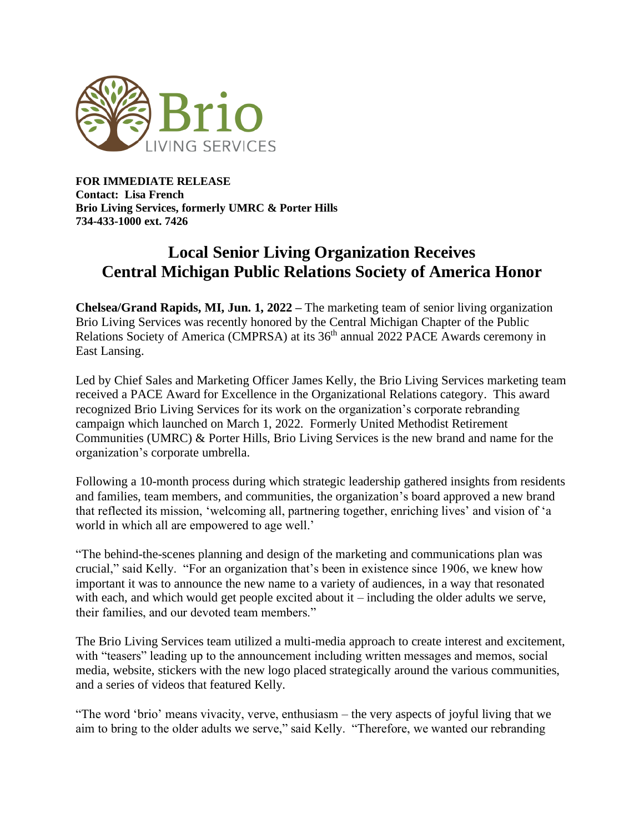

**FOR IMMEDIATE RELEASE Contact: Lisa French Brio Living Services, formerly UMRC & Porter Hills 734-433-1000 ext. 7426**

## **Local Senior Living Organization Receives Central Michigan Public Relations Society of America Honor**

**Chelsea/Grand Rapids, MI, Jun. 1, 2022 –** The marketing team of senior living organization Brio Living Services was recently honored by the Central Michigan Chapter of the Public Relations Society of America (CMPRSA) at its  $36<sup>th</sup>$  annual 2022 PACE Awards ceremony in East Lansing.

Led by Chief Sales and Marketing Officer James Kelly, the Brio Living Services marketing team received a PACE Award for Excellence in the Organizational Relations category. This award recognized Brio Living Services for its work on the organization's corporate rebranding campaign which launched on March 1, 2022. Formerly United Methodist Retirement Communities (UMRC) & Porter Hills, Brio Living Services is the new brand and name for the organization's corporate umbrella.

Following a 10-month process during which strategic leadership gathered insights from residents and families, team members, and communities, the organization's board approved a new brand that reflected its mission, 'welcoming all, partnering together, enriching lives' and vision of 'a world in which all are empowered to age well.'

"The behind-the-scenes planning and design of the marketing and communications plan was crucial," said Kelly. "For an organization that's been in existence since 1906, we knew how important it was to announce the new name to a variety of audiences, in a way that resonated with each, and which would get people excited about it – including the older adults we serve, their families, and our devoted team members."

The Brio Living Services team utilized a multi-media approach to create interest and excitement, with "teasers" leading up to the announcement including written messages and memos, social media, website, stickers with the new logo placed strategically around the various communities, and a series of videos that featured Kelly.

"The word 'brio' means vivacity, verve, enthusiasm – the very aspects of joyful living that we aim to bring to the older adults we serve," said Kelly. "Therefore, we wanted our rebranding